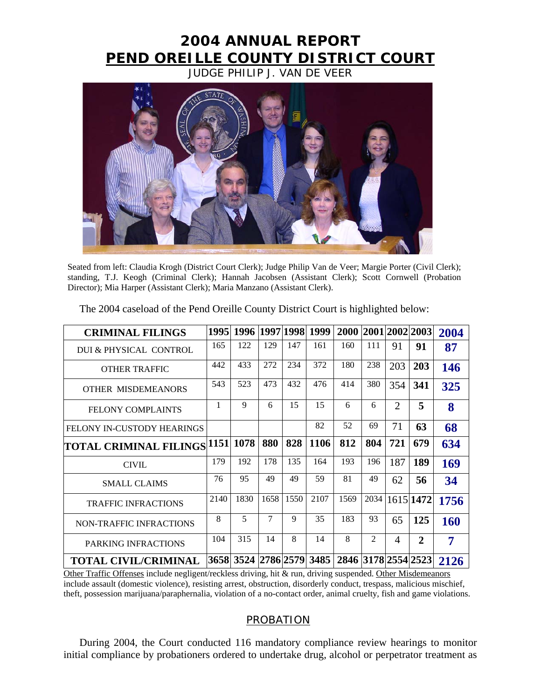## **2004 ANNUAL REPORT PEND OREILLE COUNTY DISTRICT COURT**

JUDGE PHILIP J. VAN DE VEER



Seated from left: Claudia Krogh (District Court Clerk); Judge Philip Van de Veer; Margie Porter (Civil Clerk); standing, T.J. Keogh (Criminal Clerk); Hannah Jacobsen (Assistant Clerk); Scott Cornwell (Probation Director); Mia Harper (Assistant Clerk); Maria Manzano (Assistant Clerk).

| <b>CRIMINAL FILINGS</b>             |      |      |        |      | 1995  1996  1997 1998  1999   2000  2001 2002 2003 |      |      |                |                | 2004 |
|-------------------------------------|------|------|--------|------|----------------------------------------------------|------|------|----------------|----------------|------|
| DUI & PHYSICAL CONTROL              | 165  | 122  | 129    | 147  | 161                                                | 160  | 111  | 91             | 91             | 87   |
| <b>OTHER TRAFFIC</b>                | 442  | 433  | 272    | 234  | 372                                                | 180  | 238  | 203            | 203            | 146  |
| <b>OTHER MISDEMEANORS</b>           | 543  | 523  | 473    | 432  | 476                                                | 414  | 380  | 354            | 341            | 325  |
| <b>FELONY COMPLAINTS</b>            | 1    | 9    | 6      | 15   | 15                                                 | 6    | 6    | $\overline{2}$ | 5              | 8    |
| <b>FELONY IN-CUSTODY HEARINGS</b>   |      |      |        |      | 82                                                 | 52   | 69   | 71             | 63             | 68   |
| TOTAL CRIMINAL FILINGS  1151   1078 |      |      | 880    | 828  | <b>1106</b>                                        | 812  | 804  | 721            | 679            | 634  |
| <b>CIVIL</b>                        | 179  | 192  | 178    | 135  | 164                                                | 193  | 196  | 187            | 189            | 169  |
| <b>SMALL CLAIMS</b>                 | 76   | 95   | 49     | 49   | 59                                                 | 81   | 49   | 62             | 56             | 34   |
| <b>TRAFFIC INFRACTIONS</b>          | 2140 | 1830 | 1658   | 1550 | 2107                                               | 1569 | 2034 |                | 1615 1472      | 1756 |
| <b>NON-TRAFFIC INFRACTIONS</b>      | 8    | 5    | $\tau$ | 9    | 35                                                 | 183  | 93   | 65             | 125            | 160  |
| PARKING INFRACTIONS                 | 104  | 315  | 14     | 8    | 14                                                 | 8    | 2    | $\overline{4}$ | $\overline{2}$ | 7    |
| <b>TOTAL CIVIL/CRIMINAL</b>         |      |      |        |      | 3658 3524 2786 2579 3485 2846 3178 2554 2523       |      |      |                |                | 2126 |

The 2004 caseload of the Pend Oreille County District Court is highlighted below:

Other Traffic Offenses include negligent/reckless driving, hit & run, driving suspended. Other Misdemeanors include assault (domestic violence), resisting arrest, obstruction, disorderly conduct, trespass, malicious mischief, theft, possession marijuana/paraphernalia, violation of a no-contact order, animal cruelty, fish and game violations.

## **PROBATION**

During 2004, the Court conducted 116 mandatory compliance review hearings to monitor initial compliance by probationers ordered to undertake drug, alcohol or perpetrator treatment as